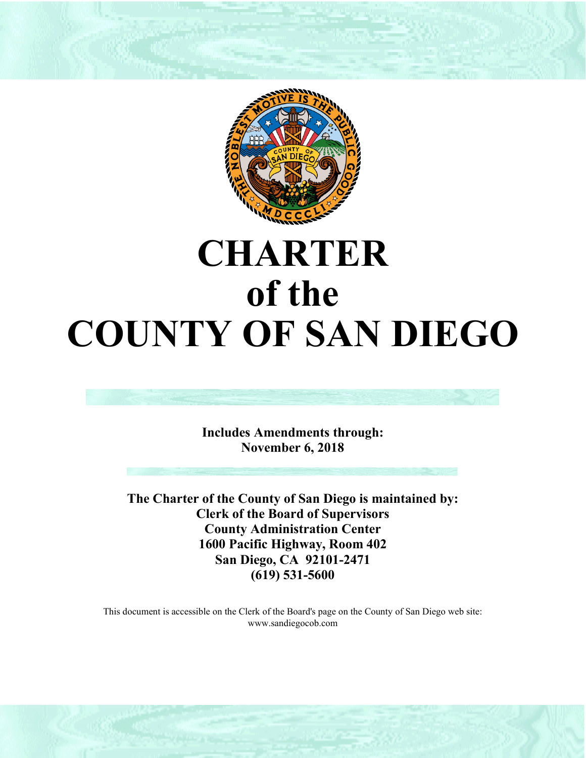

# **CHARTER of the COUNTY OF SAN DIEGO**



**Includes Amendments through: November 6, 2018**

**The Charter of the County of San Diego is maintained by: Clerk of the Board of Supervisors County Administration Center 1600 Pacific Highway, Room 402 San Diego, CA 92101-2471 (619) 531-5600**

This document is accessible on the Clerk of the Board's page on the County of San Diego web site: www.sandiegocob.com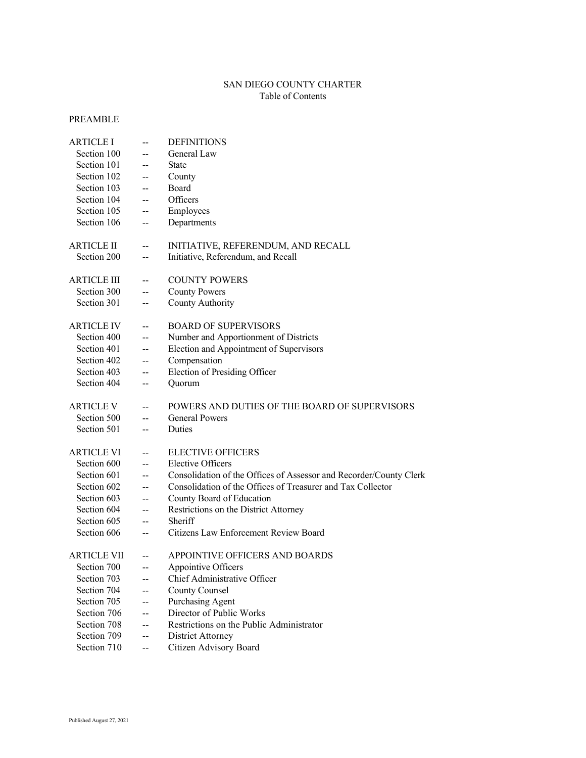# SAN DIEGO COUNTY CHARTER Table of Contents

# PREAMBLE

| <b>ARTICLE I</b>   | $\overline{a}$ | <b>DEFINITIONS</b>                                                 |
|--------------------|----------------|--------------------------------------------------------------------|
| Section 100        | $\overline{a}$ | General Law                                                        |
| Section 101        | --             | <b>State</b>                                                       |
| Section 102        | --             | County                                                             |
| Section 103        | --             | Board                                                              |
| Section 104        | --             | Officers                                                           |
| Section 105        | --             | Employees                                                          |
| Section 106        | --             | Departments                                                        |
| <b>ARTICLE II</b>  | --             | INITIATIVE, REFERENDUM, AND RECALL                                 |
| Section 200        | --             | Initiative, Referendum, and Recall                                 |
| <b>ARTICLE III</b> | --             | <b>COUNTY POWERS</b>                                               |
| Section 300        | --             | <b>County Powers</b>                                               |
| Section 301        | --             | County Authority                                                   |
| <b>ARTICLE IV</b>  | $-$            | <b>BOARD OF SUPERVISORS</b>                                        |
| Section 400        | --             | Number and Apportionment of Districts                              |
| Section 401        | --             | Election and Appointment of Supervisors                            |
| Section 402        | --             | Compensation                                                       |
| Section 403        | --             | Election of Presiding Officer                                      |
| Section 404        | --             | Quorum                                                             |
| <b>ARTICLE V</b>   | --             | POWERS AND DUTIES OF THE BOARD OF SUPERVISORS                      |
| Section 500        | --             | <b>General Powers</b>                                              |
| Section 501        | --             | Duties                                                             |
| <b>ARTICLE VI</b>  | --             | <b>ELECTIVE OFFICERS</b>                                           |
| Section 600        | --             | <b>Elective Officers</b>                                           |
| Section 601        | --             | Consolidation of the Offices of Assessor and Recorder/County Clerk |
| Section 602        | --             | Consolidation of the Offices of Treasurer and Tax Collector        |
| Section 603        | --             | County Board of Education                                          |
| Section 604        | --             | Restrictions on the District Attorney                              |
| Section 605        | --             | Sheriff                                                            |
| Section 606        | --             | Citizens Law Enforcement Review Board                              |
| ARTICLE VII        | --             | APPOINTIVE OFFICERS AND BOARDS                                     |
| Section 700        | --             | Appointive Officers                                                |
| Section 703        | --             | Chief Administrative Officer                                       |
| Section 704        | --             | <b>County Counsel</b>                                              |
| Section 705        | --             | Purchasing Agent                                                   |
| Section 706        | --             | Director of Public Works                                           |
| Section 708        | --             | Restrictions on the Public Administrator                           |
| Section 709        | --             | District Attorney                                                  |
| Section 710        | --             | Citizen Advisory Board                                             |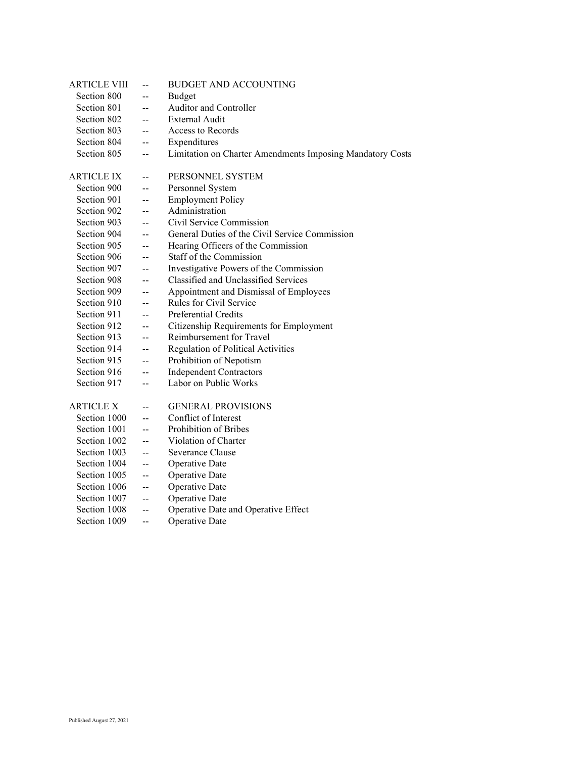| <b>ARTICLE VIII</b> | $\overline{a}$                                | <b>BUDGET AND ACCOUNTING</b>                              |
|---------------------|-----------------------------------------------|-----------------------------------------------------------|
| Section 800         | $-$                                           | Budget                                                    |
| Section 801         | --                                            | Auditor and Controller                                    |
| Section 802         | $\overline{\phantom{a}}$                      | <b>External Audit</b>                                     |
| Section 803         | $-$                                           | Access to Records                                         |
| Section 804         | $-$                                           | Expenditures                                              |
| Section 805         | $\mathbf{--}$                                 | Limitation on Charter Amendments Imposing Mandatory Costs |
|                     |                                               |                                                           |
| <b>ARTICLE IX</b>   | $\overline{a}$                                | PERSONNEL SYSTEM                                          |
| Section 900         | $\overline{a}$                                | Personnel System                                          |
| Section 901         | $-$                                           | <b>Employment Policy</b>                                  |
| Section 902         | $\overline{\phantom{a}}$                      | Administration                                            |
| Section 903         | $-$                                           | Civil Service Commission                                  |
| Section 904         | $\overline{a}$                                | General Duties of the Civil Service Commission            |
| Section 905         | $\overline{a}$                                | Hearing Officers of the Commission                        |
| Section 906         | $-$                                           | Staff of the Commission                                   |
| Section 907         | $\mathord{\hspace{1pt}\text{--}\hspace{1pt}}$ | Investigative Powers of the Commission                    |
| Section 908         | $-$                                           | Classified and Unclassified Services                      |
| Section 909         | --                                            | Appointment and Dismissal of Employees                    |
| Section 910         | $\overline{\phantom{a}}$                      | Rules for Civil Service                                   |
| Section 911         | $-$                                           | Preferential Credits                                      |
| Section 912         | $\overline{\phantom{a}}$                      | Citizenship Requirements for Employment                   |
| Section 913         | $\overline{a}$                                | Reimbursement for Travel                                  |
| Section 914         | --                                            | <b>Regulation of Political Activities</b>                 |
| Section 915         | $\overline{\phantom{a}}$                      | Prohibition of Nepotism                                   |
| Section 916         | $\overline{\phantom{a}}$                      | <b>Independent Contractors</b>                            |
| Section 917         | $\overline{\phantom{a}}$                      | Labor on Public Works                                     |
|                     |                                               |                                                           |
| <b>ARTICLE X</b>    | --                                            | <b>GENERAL PROVISIONS</b>                                 |
| Section 1000        | $\overline{a}$                                | Conflict of Interest                                      |
| Section 1001        | $-$                                           | Prohibition of Bribes                                     |
| Section 1002        | $-$                                           | Violation of Charter                                      |
| Section 1003        | $\mathord{\hspace{1pt}\text{--}\hspace{1pt}}$ | Severance Clause                                          |
| Section 1004        | $\overline{a}$                                | Operative Date                                            |
| Section 1005        | $-$                                           | Operative Date                                            |
| Section 1006        | $\overline{\phantom{m}}$                      | Operative Date                                            |
| Section 1007        | $\mathord{\hspace{1pt}\text{--}\hspace{1pt}}$ | Operative Date                                            |
| Section 1008        | $\mathord{\hspace{1pt}\text{--}\hspace{1pt}}$ | Operative Date and Operative Effect                       |
| Section 1009        | $-$                                           | Operative Date                                            |
|                     |                                               |                                                           |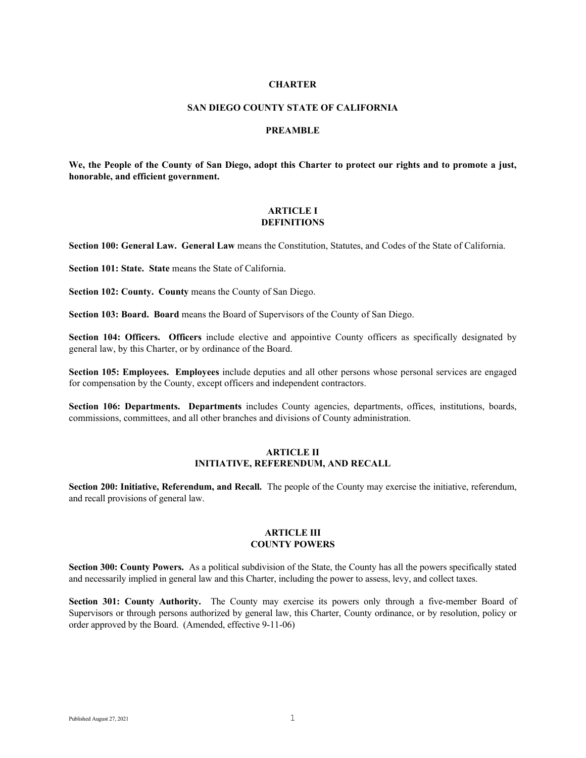## **CHARTER**

#### **SAN DIEGO COUNTY STATE OF CALIFORNIA**

## **PREAMBLE**

**We, the People of the County of San Diego, adopt this Charter to protect our rights and to promote a just, honorable, and efficient government.**

## **ARTICLE I DEFINITIONS**

**Section 100: General Law. General Law** means the Constitution, Statutes, and Codes of the State of California.

**Section 101: State. State means the State of California.** 

**Section 102: County. County** means the County of San Diego.

**Section 103: Board. Board** means the Board of Supervisors of the County of San Diego.

**Section 104: Officers. Officers** include elective and appointive County officers as specifically designated by general law, by this Charter, or by ordinance of the Board.

**Section 105: Employees. Employees** include deputies and all other persons whose personal services are engaged for compensation by the County, except officers and independent contractors.

**Section 106: Departments. Departments** includes County agencies, departments, offices, institutions, boards, commissions, committees, and all other branches and divisions of County administration.

## **ARTICLE II INITIATIVE, REFERENDUM, AND RECALL**

**Section 200: Initiative, Referendum, and Recall.** The people of the County may exercise the initiative, referendum, and recall provisions of general law.

## **ARTICLE III COUNTY POWERS**

**Section 300: County Powers.** As a political subdivision of the State, the County has all the powers specifically stated and necessarily implied in general law and this Charter, including the power to assess, levy, and collect taxes.

**Section 301: County Authority.** The County may exercise its powers only through a five-member Board of Supervisors or through persons authorized by general law, this Charter, County ordinance, or by resolution, policy or order approved by the Board. (Amended, effective 9-11-06)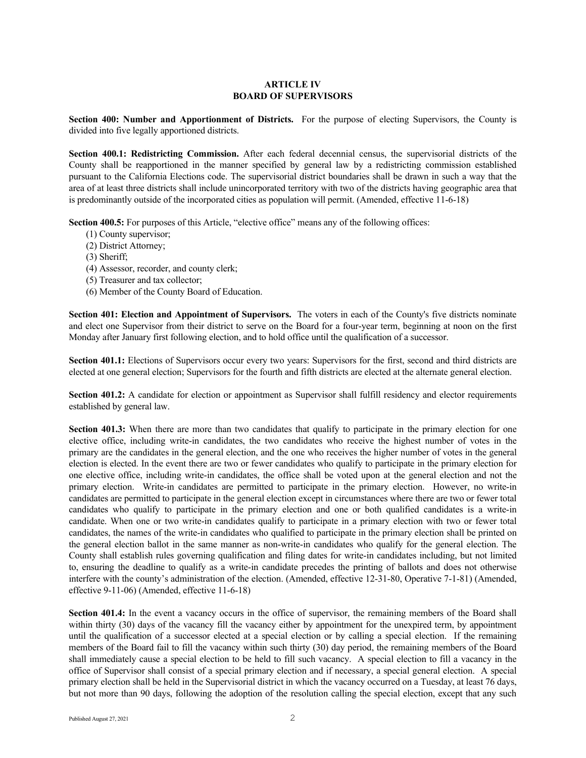## **ARTICLE IV BOARD OF SUPERVISORS**

**Section 400: Number and Apportionment of Districts.** For the purpose of electing Supervisors, the County is divided into five legally apportioned districts.

**Section 400.1: Redistricting Commission.** After each federal decennial census, the supervisorial districts of the County shall be reapportioned in the manner specified by general law by a redistricting commission established pursuant to the California Elections code. The supervisorial district boundaries shall be drawn in such a way that the area of at least three districts shall include unincorporated territory with two of the districts having geographic area that is predominantly outside of the incorporated cities as population will permit. (Amended, effective 11-6-18)

**Section 400.5:** For purposes of this Article, "elective office" means any of the following offices:

- (1) County supervisor;
- (2) District Attorney;
- (3) Sheriff;
- (4) Assessor, recorder, and county clerk;
- (5) Treasurer and tax collector;
- (6) Member of the County Board of Education.

**Section 401: Election and Appointment of Supervisors.** The voters in each of the County's five districts nominate and elect one Supervisor from their district to serve on the Board for a four-year term, beginning at noon on the first Monday after January first following election, and to hold office until the qualification of a successor.

**Section 401.1:** Elections of Supervisors occur every two years: Supervisors for the first, second and third districts are elected at one general election; Supervisors for the fourth and fifth districts are elected at the alternate general election.

**Section 401.2:** A candidate for election or appointment as Supervisor shall fulfill residency and elector requirements established by general law.

**Section 401.3:** When there are more than two candidates that qualify to participate in the primary election for one elective office, including write-in candidates, the two candidates who receive the highest number of votes in the primary are the candidates in the general election, and the one who receives the higher number of votes in the general election is elected. In the event there are two or fewer candidates who qualify to participate in the primary election for one elective office, including write-in candidates, the office shall be voted upon at the general election and not the primary election. Write-in candidates are permitted to participate in the primary election. However, no write-in candidates are permitted to participate in the general election except in circumstances where there are two or fewer total candidates who qualify to participate in the primary election and one or both qualified candidates is a write-in candidate. When one or two write-in candidates qualify to participate in a primary election with two or fewer total candidates, the names of the write-in candidates who qualified to participate in the primary election shall be printed on the general election ballot in the same manner as non-write-in candidates who qualify for the general election. The County shall establish rules governing qualification and filing dates for write-in candidates including, but not limited to, ensuring the deadline to qualify as a write-in candidate precedes the printing of ballots and does not otherwise interfere with the county's administration of the election. (Amended, effective 12-31-80, Operative 7-1-81) (Amended, effective 9-11-06) (Amended, effective 11-6-18)

**Section 401.4:** In the event a vacancy occurs in the office of supervisor, the remaining members of the Board shall within thirty (30) days of the vacancy fill the vacancy either by appointment for the unexpired term, by appointment until the qualification of a successor elected at a special election or by calling a special election. If the remaining members of the Board fail to fill the vacancy within such thirty (30) day period, the remaining members of the Board shall immediately cause a special election to be held to fill such vacancy. A special election to fill a vacancy in the office of Supervisor shall consist of a special primary election and if necessary, a special general election. A special primary election shall be held in the Supervisorial district in which the vacancy occurred on a Tuesday, at least 76 days, but not more than 90 days, following the adoption of the resolution calling the special election, except that any such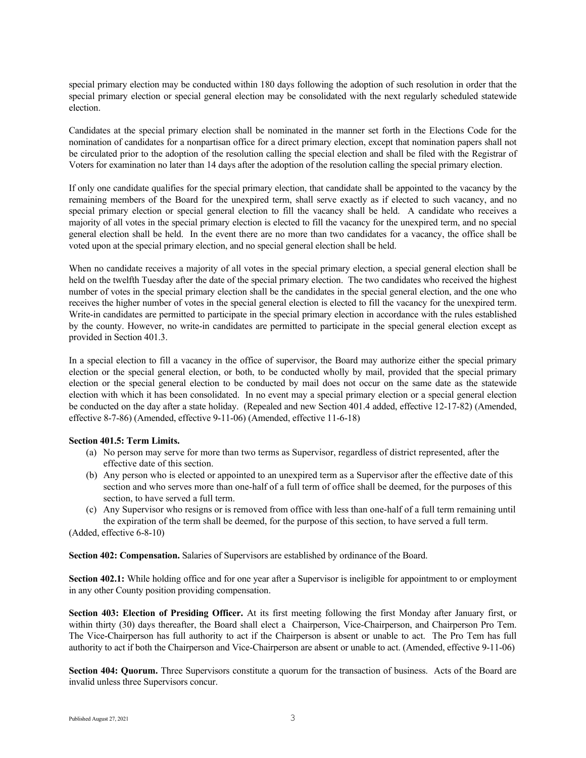special primary election may be conducted within 180 days following the adoption of such resolution in order that the special primary election or special general election may be consolidated with the next regularly scheduled statewide election.

Candidates at the special primary election shall be nominated in the manner set forth in the Elections Code for the nomination of candidates for a nonpartisan office for a direct primary election, except that nomination papers shall not be circulated prior to the adoption of the resolution calling the special election and shall be filed with the Registrar of Voters for examination no later than 14 days after the adoption of the resolution calling the special primary election.

If only one candidate qualifies for the special primary election, that candidate shall be appointed to the vacancy by the remaining members of the Board for the unexpired term, shall serve exactly as if elected to such vacancy, and no special primary election or special general election to fill the vacancy shall be held. A candidate who receives a majority of all votes in the special primary election is elected to fill the vacancy for the unexpired term, and no special general election shall be held. In the event there are no more than two candidates for a vacancy, the office shall be voted upon at the special primary election, and no special general election shall be held.

When no candidate receives a majority of all votes in the special primary election, a special general election shall be held on the twelfth Tuesday after the date of the special primary election. The two candidates who received the highest number of votes in the special primary election shall be the candidates in the special general election, and the one who receives the higher number of votes in the special general election is elected to fill the vacancy for the unexpired term. Write-in candidates are permitted to participate in the special primary election in accordance with the rules established by the county. However, no write-in candidates are permitted to participate in the special general election except as provided in Section 401.3.

In a special election to fill a vacancy in the office of supervisor, the Board may authorize either the special primary election or the special general election, or both, to be conducted wholly by mail, provided that the special primary election or the special general election to be conducted by mail does not occur on the same date as the statewide election with which it has been consolidated. In no event may a special primary election or a special general election be conducted on the day after a state holiday. (Repealed and new Section 401.4 added, effective 12-17-82) (Amended, effective 8-7-86) (Amended, effective 9-11-06) (Amended, effective 11-6-18)

## **Section 401.5: Term Limits.**

- (a) No person may serve for more than two terms as Supervisor, regardless of district represented, after the effective date of this section.
- (b) Any person who is elected or appointed to an unexpired term as a Supervisor after the effective date of this section and who serves more than one-half of a full term of office shall be deemed, for the purposes of this section, to have served a full term.
- (c) Any Supervisor who resigns or is removed from office with less than one-half of a full term remaining until the expiration of the term shall be deemed, for the purpose of this section, to have served a full term.

(Added, effective 6-8-10)

**Section 402: Compensation.** Salaries of Supervisors are established by ordinance of the Board.

**Section 402.1:** While holding office and for one year after a Supervisor is ineligible for appointment to or employment in any other County position providing compensation.

**Section 403: Election of Presiding Officer.** At its first meeting following the first Monday after January first, or within thirty (30) days thereafter, the Board shall elect a Chairperson, Vice-Chairperson, and Chairperson Pro Tem. The Vice-Chairperson has full authority to act if the Chairperson is absent or unable to act. The Pro Tem has full authority to act if both the Chairperson and Vice-Chairperson are absent or unable to act. (Amended, effective 9-11-06)

**Section 404: Quorum.** Three Supervisors constitute a quorum for the transaction of business. Acts of the Board are invalid unless three Supervisors concur.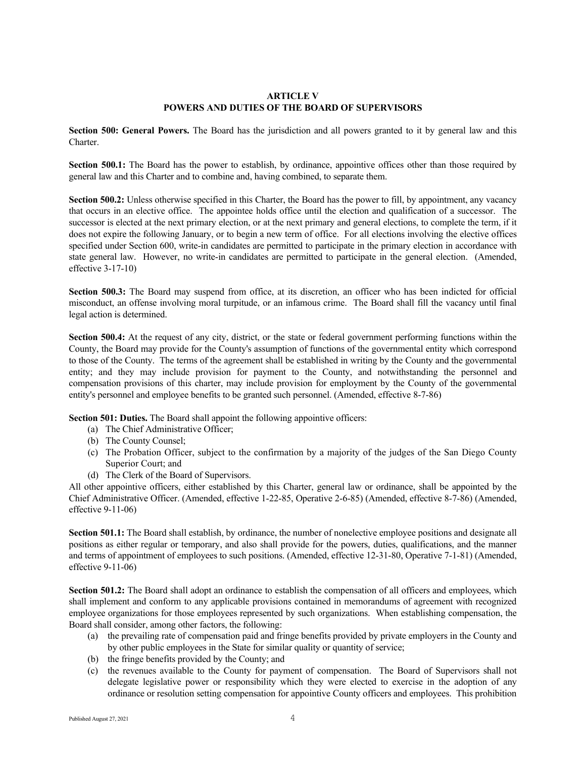## **ARTICLE V POWERS AND DUTIES OF THE BOARD OF SUPERVISORS**

**Section 500: General Powers.** The Board has the jurisdiction and all powers granted to it by general law and this Charter.

**Section 500.1:** The Board has the power to establish, by ordinance, appointive offices other than those required by general law and this Charter and to combine and, having combined, to separate them.

**Section 500.2:** Unless otherwise specified in this Charter, the Board has the power to fill, by appointment, any vacancy that occurs in an elective office. The appointee holds office until the election and qualification of a successor. The successor is elected at the next primary election, or at the next primary and general elections, to complete the term, if it does not expire the following January, or to begin a new term of office. For all elections involving the elective offices specified under Section 600, write-in candidates are permitted to participate in the primary election in accordance with state general law. However, no write-in candidates are permitted to participate in the general election. (Amended, effective 3-17-10)

**Section 500.3:** The Board may suspend from office, at its discretion, an officer who has been indicted for official misconduct, an offense involving moral turpitude, or an infamous crime. The Board shall fill the vacancy until final legal action is determined.

**Section 500.4:** At the request of any city, district, or the state or federal government performing functions within the County, the Board may provide for the County's assumption of functions of the governmental entity which correspond to those of the County. The terms of the agreement shall be established in writing by the County and the governmental entity; and they may include provision for payment to the County, and notwithstanding the personnel and compensation provisions of this charter, may include provision for employment by the County of the governmental entity's personnel and employee benefits to be granted such personnel. (Amended, effective 8-7-86)

**Section 501: Duties.** The Board shall appoint the following appointive officers:

- (a) The Chief Administrative Officer;
- (b) The County Counsel;
- (c) The Probation Officer, subject to the confirmation by a majority of the judges of the San Diego County Superior Court; and
- (d) The Clerk of the Board of Supervisors.

All other appointive officers, either established by this Charter, general law or ordinance, shall be appointed by the Chief Administrative Officer. (Amended, effective 1-22-85, Operative 2-6-85) (Amended, effective 8-7-86) (Amended, effective 9-11-06)

**Section 501.1:** The Board shall establish, by ordinance, the number of nonelective employee positions and designate all positions as either regular or temporary, and also shall provide for the powers, duties, qualifications, and the manner and terms of appointment of employees to such positions. (Amended, effective 12-31-80, Operative 7-1-81) (Amended, effective 9-11-06)

**Section 501.2:** The Board shall adopt an ordinance to establish the compensation of all officers and employees, which shall implement and conform to any applicable provisions contained in memorandums of agreement with recognized employee organizations for those employees represented by such organizations. When establishing compensation, the Board shall consider, among other factors, the following:

- (a) the prevailing rate of compensation paid and fringe benefits provided by private employers in the County and by other public employees in the State for similar quality or quantity of service;
- (b) the fringe benefits provided by the County; and
- (c) the revenues available to the County for payment of compensation. The Board of Supervisors shall not delegate legislative power or responsibility which they were elected to exercise in the adoption of any ordinance or resolution setting compensation for appointive County officers and employees. This prohibition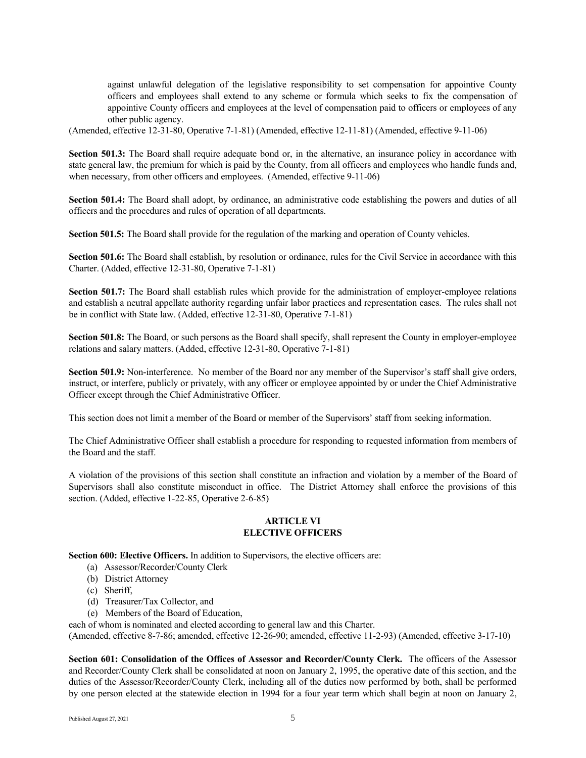against unlawful delegation of the legislative responsibility to set compensation for appointive County officers and employees shall extend to any scheme or formula which seeks to fix the compensation of appointive County officers and employees at the level of compensation paid to officers or employees of any other public agency.

(Amended, effective 12-31-80, Operative 7-1-81) (Amended, effective 12-11-81) (Amended, effective 9-11-06)

**Section 501.3:** The Board shall require adequate bond or, in the alternative, an insurance policy in accordance with state general law, the premium for which is paid by the County, from all officers and employees who handle funds and, when necessary, from other officers and employees. (Amended, effective 9-11-06)

**Section 501.4:** The Board shall adopt, by ordinance, an administrative code establishing the powers and duties of all officers and the procedures and rules of operation of all departments.

**Section 501.5:** The Board shall provide for the regulation of the marking and operation of County vehicles.

**Section 501.6:** The Board shall establish, by resolution or ordinance, rules for the Civil Service in accordance with this Charter. (Added, effective 12-31-80, Operative 7-1-81)

**Section 501.7:** The Board shall establish rules which provide for the administration of employer-employee relations and establish a neutral appellate authority regarding unfair labor practices and representation cases. The rules shall not be in conflict with State law. (Added, effective 12-31-80, Operative 7-1-81)

**Section 501.8:** The Board, or such persons as the Board shall specify, shall represent the County in employer-employee relations and salary matters. (Added, effective 12-31-80, Operative 7-1-81)

**Section 501.9:** Non-interference. No member of the Board nor any member of the Supervisor's staff shall give orders, instruct, or interfere, publicly or privately, with any officer or employee appointed by or under the Chief Administrative Officer except through the Chief Administrative Officer.

This section does not limit a member of the Board or member of the Supervisors' staff from seeking information.

The Chief Administrative Officer shall establish a procedure for responding to requested information from members of the Board and the staff.

A violation of the provisions of this section shall constitute an infraction and violation by a member of the Board of Supervisors shall also constitute misconduct in office. The District Attorney shall enforce the provisions of this section. (Added, effective 1-22-85, Operative 2-6-85)

## **ARTICLE VI ELECTIVE OFFICERS**

**Section 600: Elective Officers.** In addition to Supervisors, the elective officers are:

- (a) Assessor/Recorder/County Clerk
- (b) District Attorney
- (c) Sheriff,
- (d) Treasurer/Tax Collector, and
- (e) Members of the Board of Education,

each of whom is nominated and elected according to general law and this Charter.

(Amended, effective 8-7-86; amended, effective 12-26-90; amended, effective 11-2-93) (Amended, effective 3-17-10)

**Section 601: Consolidation of the Offices of Assessor and Recorder/County Clerk.** The officers of the Assessor and Recorder/County Clerk shall be consolidated at noon on January 2, 1995, the operative date of this section, and the duties of the Assessor/Recorder/County Clerk, including all of the duties now performed by both, shall be performed by one person elected at the statewide election in 1994 for a four year term which shall begin at noon on January 2,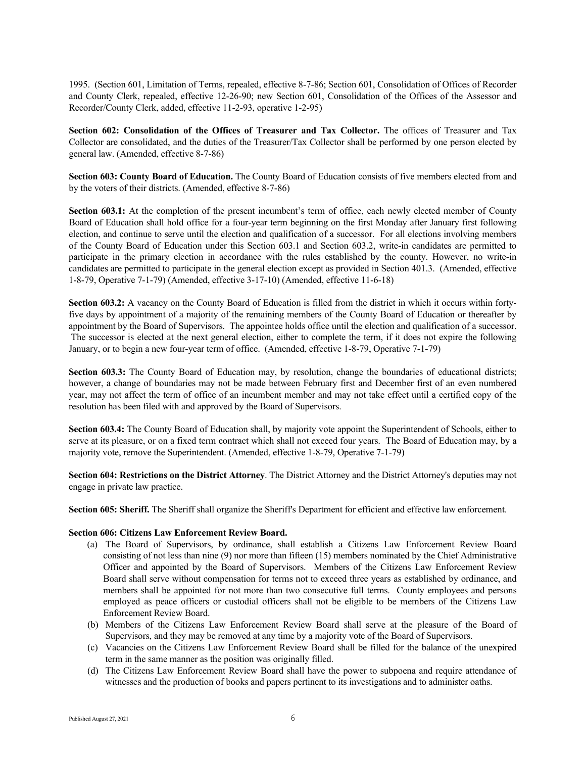1995. (Section 601, Limitation of Terms, repealed, effective 8-7-86; Section 601, Consolidation of Offices of Recorder and County Clerk, repealed, effective 12-26-90; new Section 601, Consolidation of the Offices of the Assessor and Recorder/County Clerk, added, effective 11-2-93, operative 1-2-95)

**Section 602: Consolidation of the Offices of Treasurer and Tax Collector.** The offices of Treasurer and Tax Collector are consolidated, and the duties of the Treasurer/Tax Collector shall be performed by one person elected by general law. (Amended, effective 8-7-86)

**Section 603: County Board of Education.** The County Board of Education consists of five members elected from and by the voters of their districts. (Amended, effective 8-7-86)

**Section 603.1:** At the completion of the present incumbent's term of office, each newly elected member of County Board of Education shall hold office for a four-year term beginning on the first Monday after January first following election, and continue to serve until the election and qualification of a successor. For all elections involving members of the County Board of Education under this Section 603.1 and Section 603.2, write-in candidates are permitted to participate in the primary election in accordance with the rules established by the county. However, no write-in candidates are permitted to participate in the general election except as provided in Section 401.3. (Amended, effective 1-8-79, Operative 7-1-79) (Amended, effective 3-17-10) (Amended, effective 11-6-18)

**Section 603.2:** A vacancy on the County Board of Education is filled from the district in which it occurs within fortyfive days by appointment of a majority of the remaining members of the County Board of Education or thereafter by appointment by the Board of Supervisors. The appointee holds office until the election and qualification of a successor. The successor is elected at the next general election, either to complete the term, if it does not expire the following January, or to begin a new four-year term of office. (Amended, effective 1-8-79, Operative 7-1-79)

**Section 603.3:** The County Board of Education may, by resolution, change the boundaries of educational districts; however, a change of boundaries may not be made between February first and December first of an even numbered year, may not affect the term of office of an incumbent member and may not take effect until a certified copy of the resolution has been filed with and approved by the Board of Supervisors.

**Section 603.4:** The County Board of Education shall, by majority vote appoint the Superintendent of Schools, either to serve at its pleasure, or on a fixed term contract which shall not exceed four years. The Board of Education may, by a majority vote, remove the Superintendent. (Amended, effective 1-8-79, Operative 7-1-79)

**Section 604: Restrictions on the District Attorney**. The District Attorney and the District Attorney's deputies may not engage in private law practice.

**Section 605: Sheriff.** The Sheriff shall organize the Sheriff's Department for efficient and effective law enforcement.

## **Section 606: Citizens Law Enforcement Review Board.**

- (a) The Board of Supervisors, by ordinance, shall establish a Citizens Law Enforcement Review Board consisting of not less than nine (9) nor more than fifteen (15) members nominated by the Chief Administrative Officer and appointed by the Board of Supervisors. Members of the Citizens Law Enforcement Review Board shall serve without compensation for terms not to exceed three years as established by ordinance, and members shall be appointed for not more than two consecutive full terms. County employees and persons employed as peace officers or custodial officers shall not be eligible to be members of the Citizens Law Enforcement Review Board.
- (b) Members of the Citizens Law Enforcement Review Board shall serve at the pleasure of the Board of Supervisors, and they may be removed at any time by a majority vote of the Board of Supervisors.
- (c) Vacancies on the Citizens Law Enforcement Review Board shall be filled for the balance of the unexpired term in the same manner as the position was originally filled.
- (d) The Citizens Law Enforcement Review Board shall have the power to subpoena and require attendance of witnesses and the production of books and papers pertinent to its investigations and to administer oaths.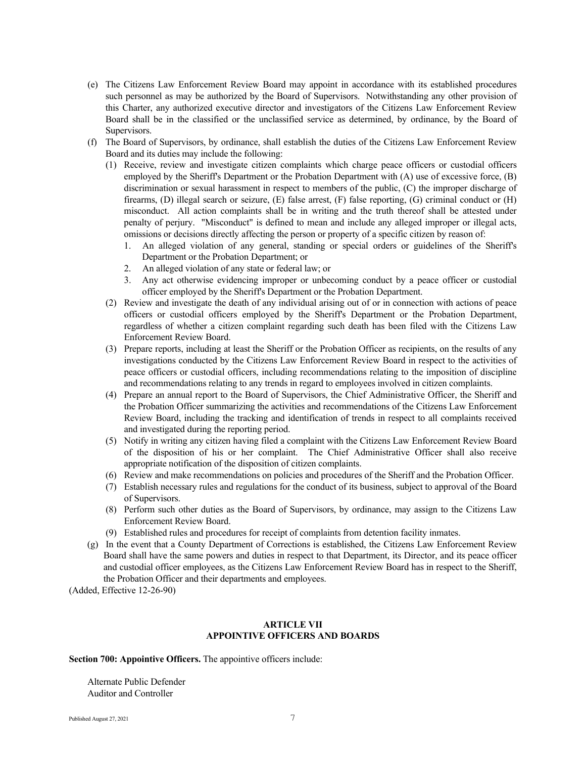- (e) The Citizens Law Enforcement Review Board may appoint in accordance with its established procedures such personnel as may be authorized by the Board of Supervisors. Notwithstanding any other provision of this Charter, any authorized executive director and investigators of the Citizens Law Enforcement Review Board shall be in the classified or the unclassified service as determined, by ordinance, by the Board of Supervisors.
- (f) The Board of Supervisors, by ordinance, shall establish the duties of the Citizens Law Enforcement Review Board and its duties may include the following:
	- (1) Receive, review and investigate citizen complaints which charge peace officers or custodial officers employed by the Sheriff's Department or the Probation Department with (A) use of excessive force, (B) discrimination or sexual harassment in respect to members of the public, (C) the improper discharge of firearms, (D) illegal search or seizure, (E) false arrest, (F) false reporting, (G) criminal conduct or (H) misconduct. All action complaints shall be in writing and the truth thereof shall be attested under penalty of perjury. "Misconduct" is defined to mean and include any alleged improper or illegal acts, omissions or decisions directly affecting the person or property of a specific citizen by reason of:
		- 1. An alleged violation of any general, standing or special orders or guidelines of the Sheriff's Department or the Probation Department; or
		- 2. An alleged violation of any state or federal law; or
		- 3. Any act otherwise evidencing improper or unbecoming conduct by a peace officer or custodial officer employed by the Sheriff's Department or the Probation Department.
	- (2) Review and investigate the death of any individual arising out of or in connection with actions of peace officers or custodial officers employed by the Sheriff's Department or the Probation Department, regardless of whether a citizen complaint regarding such death has been filed with the Citizens Law Enforcement Review Board.
	- (3) Prepare reports, including at least the Sheriff or the Probation Officer as recipients, on the results of any investigations conducted by the Citizens Law Enforcement Review Board in respect to the activities of peace officers or custodial officers, including recommendations relating to the imposition of discipline and recommendations relating to any trends in regard to employees involved in citizen complaints.
	- (4) Prepare an annual report to the Board of Supervisors, the Chief Administrative Officer, the Sheriff and the Probation Officer summarizing the activities and recommendations of the Citizens Law Enforcement Review Board, including the tracking and identification of trends in respect to all complaints received and investigated during the reporting period.
	- (5) Notify in writing any citizen having filed a complaint with the Citizens Law Enforcement Review Board of the disposition of his or her complaint. The Chief Administrative Officer shall also receive appropriate notification of the disposition of citizen complaints.
	- (6) Review and make recommendations on policies and procedures of the Sheriff and the Probation Officer.
	- (7) Establish necessary rules and regulations for the conduct of its business, subject to approval of the Board of Supervisors.
	- (8) Perform such other duties as the Board of Supervisors, by ordinance, may assign to the Citizens Law Enforcement Review Board.
	- (9) Established rules and procedures for receipt of complaints from detention facility inmates.
- (g) In the event that a County Department of Corrections is established, the Citizens Law Enforcement Review Board shall have the same powers and duties in respect to that Department, its Director, and its peace officer and custodial officer employees, as the Citizens Law Enforcement Review Board has in respect to the Sheriff, the Probation Officer and their departments and employees.

(Added, Effective 12-26-90)

## **ARTICLE VII APPOINTIVE OFFICERS AND BOARDS**

#### **Section 700: Appointive Officers.** The appointive officers include:

Alternate Public Defender Auditor and Controller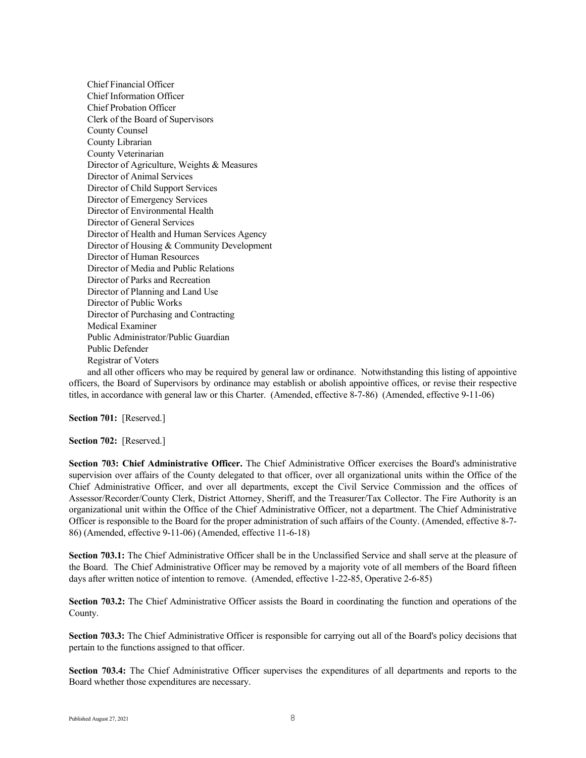Chief Financial Officer Chief Information Officer Chief Probation Officer Clerk of the Board of Supervisors County Counsel County Librarian County Veterinarian Director of Agriculture, Weights & Measures Director of Animal Services Director of Child Support Services Director of Emergency Services Director of Environmental Health Director of General Services Director of Health and Human Services Agency Director of Housing & Community Development Director of Human Resources Director of Media and Public Relations Director of Parks and Recreation Director of Planning and Land Use Director of Public Works Director of Purchasing and Contracting Medical Examiner Public Administrator/Public Guardian Public Defender Registrar of Voters

and all other officers who may be required by general law or ordinance. Notwithstanding this listing of appointive officers, the Board of Supervisors by ordinance may establish or abolish appointive offices, or revise their respective titles, in accordance with general law or this Charter. (Amended, effective 8-7-86) (Amended, effective 9-11-06)

**Section 701:** [Reserved.]

**Section 702:** [Reserved.]

**Section 703: Chief Administrative Officer.** The Chief Administrative Officer exercises the Board's administrative supervision over affairs of the County delegated to that officer, over all organizational units within the Office of the Chief Administrative Officer, and over all departments, except the Civil Service Commission and the offices of Assessor/Recorder/County Clerk, District Attorney, Sheriff, and the Treasurer/Tax Collector. The Fire Authority is an organizational unit within the Office of the Chief Administrative Officer, not a department. The Chief Administrative Officer is responsible to the Board for the proper administration of such affairs of the County. (Amended, effective 8-7- 86) (Amended, effective 9-11-06) (Amended, effective 11-6-18)

**Section 703.1:** The Chief Administrative Officer shall be in the Unclassified Service and shall serve at the pleasure of the Board. The Chief Administrative Officer may be removed by a majority vote of all members of the Board fifteen days after written notice of intention to remove. (Amended, effective 1-22-85, Operative 2-6-85)

**Section 703.2:** The Chief Administrative Officer assists the Board in coordinating the function and operations of the County.

**Section 703.3:** The Chief Administrative Officer is responsible for carrying out all of the Board's policy decisions that pertain to the functions assigned to that officer.

**Section 703.4:** The Chief Administrative Officer supervises the expenditures of all departments and reports to the Board whether those expenditures are necessary.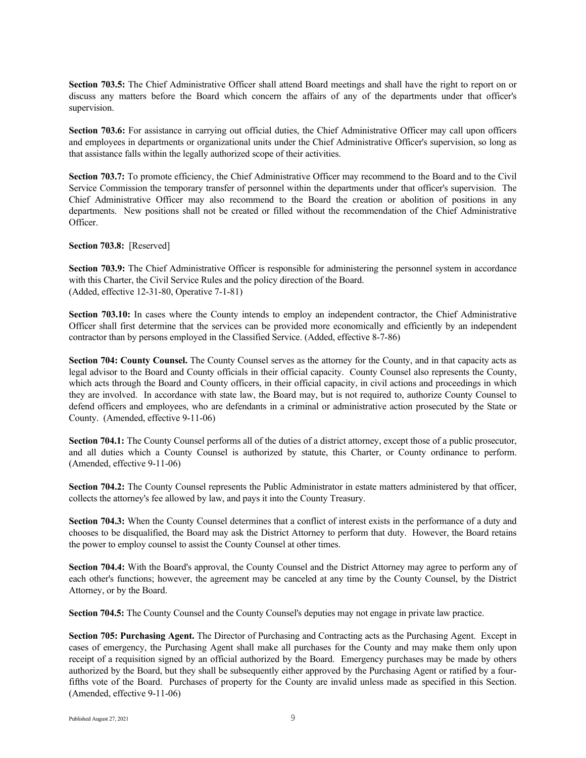**Section 703.5:** The Chief Administrative Officer shall attend Board meetings and shall have the right to report on or discuss any matters before the Board which concern the affairs of any of the departments under that officer's supervision.

**Section 703.6:** For assistance in carrying out official duties, the Chief Administrative Officer may call upon officers and employees in departments or organizational units under the Chief Administrative Officer's supervision, so long as that assistance falls within the legally authorized scope of their activities.

**Section 703.7:** To promote efficiency, the Chief Administrative Officer may recommend to the Board and to the Civil Service Commission the temporary transfer of personnel within the departments under that officer's supervision. The Chief Administrative Officer may also recommend to the Board the creation or abolition of positions in any departments. New positions shall not be created or filled without the recommendation of the Chief Administrative Officer.

**Section 703.8:** [Reserved]

**Section 703.9:** The Chief Administrative Officer is responsible for administering the personnel system in accordance with this Charter, the Civil Service Rules and the policy direction of the Board. (Added, effective 12-31-80, Operative 7-1-81)

**Section 703.10:** In cases where the County intends to employ an independent contractor, the Chief Administrative Officer shall first determine that the services can be provided more economically and efficiently by an independent contractor than by persons employed in the Classified Service. (Added, effective 8-7-86)

**Section 704: County Counsel.** The County Counsel serves as the attorney for the County, and in that capacity acts as legal advisor to the Board and County officials in their official capacity. County Counsel also represents the County, which acts through the Board and County officers, in their official capacity, in civil actions and proceedings in which they are involved. In accordance with state law, the Board may, but is not required to, authorize County Counsel to defend officers and employees, who are defendants in a criminal or administrative action prosecuted by the State or County. (Amended, effective 9-11-06)

**Section 704.1:** The County Counsel performs all of the duties of a district attorney, except those of a public prosecutor, and all duties which a County Counsel is authorized by statute, this Charter, or County ordinance to perform. (Amended, effective 9-11-06)

**Section 704.2:** The County Counsel represents the Public Administrator in estate matters administered by that officer, collects the attorney's fee allowed by law, and pays it into the County Treasury.

**Section 704.3:** When the County Counsel determines that a conflict of interest exists in the performance of a duty and chooses to be disqualified, the Board may ask the District Attorney to perform that duty. However, the Board retains the power to employ counsel to assist the County Counsel at other times.

**Section 704.4:** With the Board's approval, the County Counsel and the District Attorney may agree to perform any of each other's functions; however, the agreement may be canceled at any time by the County Counsel, by the District Attorney, or by the Board.

**Section 704.5:** The County Counsel and the County Counsel's deputies may not engage in private law practice.

**Section 705: Purchasing Agent.** The Director of Purchasing and Contracting acts as the Purchasing Agent. Except in cases of emergency, the Purchasing Agent shall make all purchases for the County and may make them only upon receipt of a requisition signed by an official authorized by the Board. Emergency purchases may be made by others authorized by the Board, but they shall be subsequently either approved by the Purchasing Agent or ratified by a fourfifths vote of the Board. Purchases of property for the County are invalid unless made as specified in this Section. (Amended, effective 9-11-06)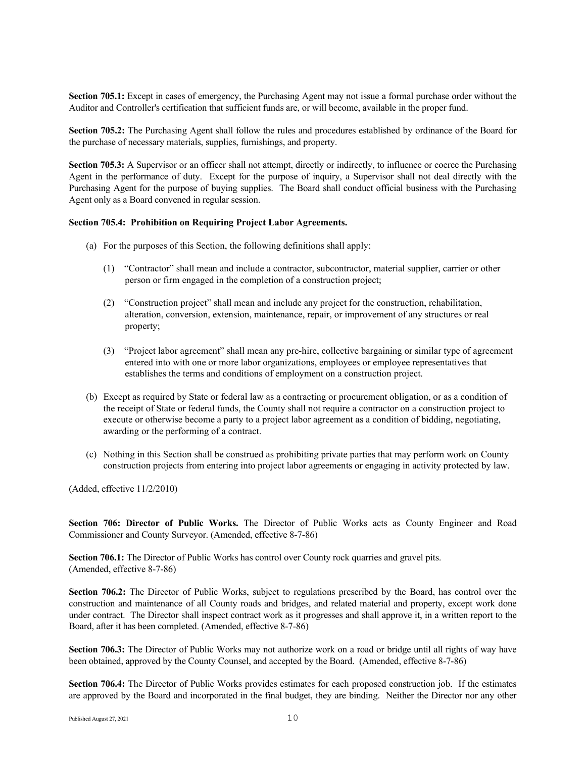**Section 705.1:** Except in cases of emergency, the Purchasing Agent may not issue a formal purchase order without the Auditor and Controller's certification that sufficient funds are, or will become, available in the proper fund.

**Section 705.2:** The Purchasing Agent shall follow the rules and procedures established by ordinance of the Board for the purchase of necessary materials, supplies, furnishings, and property.

**Section 705.3:** A Supervisor or an officer shall not attempt, directly or indirectly, to influence or coerce the Purchasing Agent in the performance of duty. Except for the purpose of inquiry, a Supervisor shall not deal directly with the Purchasing Agent for the purpose of buying supplies. The Board shall conduct official business with the Purchasing Agent only as a Board convened in regular session.

## **Section 705.4: Prohibition on Requiring Project Labor Agreements.**

- (a) For the purposes of this Section, the following definitions shall apply:
	- (1) "Contractor" shall mean and include a contractor, subcontractor, material supplier, carrier or other person or firm engaged in the completion of a construction project;
	- (2) "Construction project" shall mean and include any project for the construction, rehabilitation, alteration, conversion, extension, maintenance, repair, or improvement of any structures or real property;
	- (3) "Project labor agreement" shall mean any pre-hire, collective bargaining or similar type of agreement entered into with one or more labor organizations, employees or employee representatives that establishes the terms and conditions of employment on a construction project.
- (b) Except as required by State or federal law as a contracting or procurement obligation, or as a condition of the receipt of State or federal funds, the County shall not require a contractor on a construction project to execute or otherwise become a party to a project labor agreement as a condition of bidding, negotiating, awarding or the performing of a contract.
- (c) Nothing in this Section shall be construed as prohibiting private parties that may perform work on County construction projects from entering into project labor agreements or engaging in activity protected by law.

(Added, effective 11/2/2010)

**Section 706: Director of Public Works.** The Director of Public Works acts as County Engineer and Road Commissioner and County Surveyor. (Amended, effective 8-7-86)

**Section 706.1:** The Director of Public Works has control over County rock quarries and gravel pits. (Amended, effective 8-7-86)

**Section 706.2:** The Director of Public Works, subject to regulations prescribed by the Board, has control over the construction and maintenance of all County roads and bridges, and related material and property, except work done under contract. The Director shall inspect contract work as it progresses and shall approve it, in a written report to the Board, after it has been completed. (Amended, effective 8-7-86)

**Section 706.3:** The Director of Public Works may not authorize work on a road or bridge until all rights of way have been obtained, approved by the County Counsel, and accepted by the Board. (Amended, effective 8-7-86)

**Section 706.4:** The Director of Public Works provides estimates for each proposed construction job. If the estimates are approved by the Board and incorporated in the final budget, they are binding. Neither the Director nor any other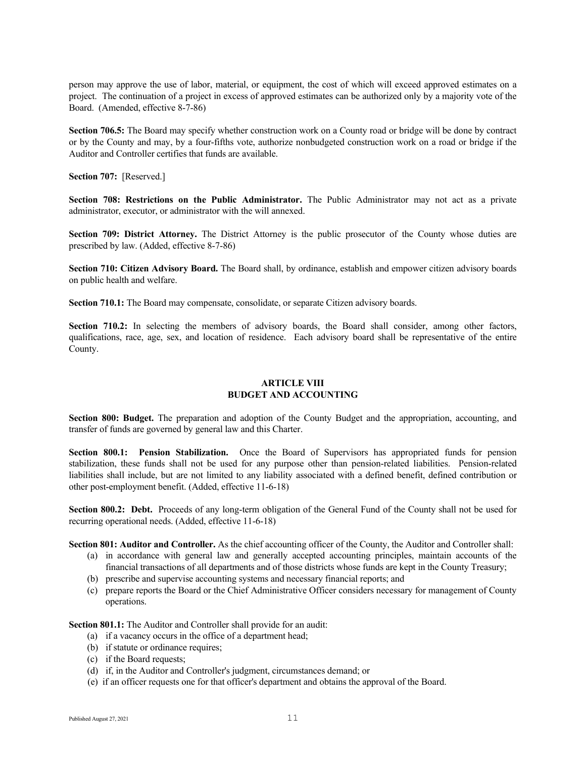person may approve the use of labor, material, or equipment, the cost of which will exceed approved estimates on a project. The continuation of a project in excess of approved estimates can be authorized only by a majority vote of the Board. (Amended, effective 8-7-86)

**Section 706.5:** The Board may specify whether construction work on a County road or bridge will be done by contract or by the County and may, by a four-fifths vote, authorize nonbudgeted construction work on a road or bridge if the Auditor and Controller certifies that funds are available.

**Section 707:** [Reserved.]

**Section 708: Restrictions on the Public Administrator.** The Public Administrator may not act as a private administrator, executor, or administrator with the will annexed.

**Section 709: District Attorney.** The District Attorney is the public prosecutor of the County whose duties are prescribed by law. (Added, effective 8-7-86)

**Section 710: Citizen Advisory Board.** The Board shall, by ordinance, establish and empower citizen advisory boards on public health and welfare.

**Section 710.1:** The Board may compensate, consolidate, or separate Citizen advisory boards.

**Section 710.2:** In selecting the members of advisory boards, the Board shall consider, among other factors, qualifications, race, age, sex, and location of residence. Each advisory board shall be representative of the entire County.

## **ARTICLE VIII BUDGET AND ACCOUNTING**

**Section 800: Budget.** The preparation and adoption of the County Budget and the appropriation, accounting, and transfer of funds are governed by general law and this Charter.

**Section 800.1: Pension Stabilization.** Once the Board of Supervisors has appropriated funds for pension stabilization, these funds shall not be used for any purpose other than pension-related liabilities. Pension-related liabilities shall include, but are not limited to any liability associated with a defined benefit, defined contribution or other post-employment benefit. (Added, effective 11-6-18)

**Section 800.2: Debt.** Proceeds of any long-term obligation of the General Fund of the County shall not be used for recurring operational needs. (Added, effective 11-6-18)

**Section 801: Auditor and Controller.** As the chief accounting officer of the County, the Auditor and Controller shall:

- (a) in accordance with general law and generally accepted accounting principles, maintain accounts of the financial transactions of all departments and of those districts whose funds are kept in the County Treasury;
- (b) prescribe and supervise accounting systems and necessary financial reports; and
- (c) prepare reports the Board or the Chief Administrative Officer considers necessary for management of County operations.

**Section 801.1:** The Auditor and Controller shall provide for an audit:

- (a) if a vacancy occurs in the office of a department head;
- (b) if statute or ordinance requires;
- (c) if the Board requests;
- (d) if, in the Auditor and Controller's judgment, circumstances demand; or
- (e) if an officer requests one for that officer's department and obtains the approval of the Board.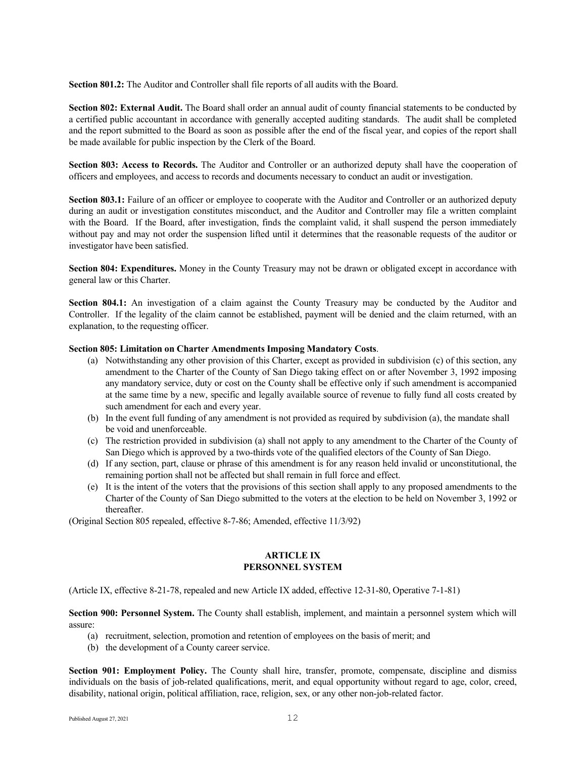**Section 801.2:** The Auditor and Controller shall file reports of all audits with the Board.

**Section 802: External Audit.** The Board shall order an annual audit of county financial statements to be conducted by a certified public accountant in accordance with generally accepted auditing standards. The audit shall be completed and the report submitted to the Board as soon as possible after the end of the fiscal year, and copies of the report shall be made available for public inspection by the Clerk of the Board.

**Section 803: Access to Records.** The Auditor and Controller or an authorized deputy shall have the cooperation of officers and employees, and access to records and documents necessary to conduct an audit or investigation.

**Section 803.1:** Failure of an officer or employee to cooperate with the Auditor and Controller or an authorized deputy during an audit or investigation constitutes misconduct, and the Auditor and Controller may file a written complaint with the Board. If the Board, after investigation, finds the complaint valid, it shall suspend the person immediately without pay and may not order the suspension lifted until it determines that the reasonable requests of the auditor or investigator have been satisfied.

**Section 804: Expenditures.** Money in the County Treasury may not be drawn or obligated except in accordance with general law or this Charter.

**Section 804.1:** An investigation of a claim against the County Treasury may be conducted by the Auditor and Controller. If the legality of the claim cannot be established, payment will be denied and the claim returned, with an explanation, to the requesting officer.

## **Section 805: Limitation on Charter Amendments Imposing Mandatory Costs**.

- (a) Notwithstanding any other provision of this Charter, except as provided in subdivision (c) of this section, any amendment to the Charter of the County of San Diego taking effect on or after November 3, 1992 imposing any mandatory service, duty or cost on the County shall be effective only if such amendment is accompanied at the same time by a new, specific and legally available source of revenue to fully fund all costs created by such amendment for each and every year.
- (b) In the event full funding of any amendment is not provided as required by subdivision (a), the mandate shall be void and unenforceable.
- (c) The restriction provided in subdivision (a) shall not apply to any amendment to the Charter of the County of San Diego which is approved by a two-thirds vote of the qualified electors of the County of San Diego.
- (d) If any section, part, clause or phrase of this amendment is for any reason held invalid or unconstitutional, the remaining portion shall not be affected but shall remain in full force and effect.
- (e) It is the intent of the voters that the provisions of this section shall apply to any proposed amendments to the Charter of the County of San Diego submitted to the voters at the election to be held on November 3, 1992 or thereafter.

(Original Section 805 repealed, effective 8-7-86; Amended, effective 11/3/92)

## **ARTICLE IX PERSONNEL SYSTEM**

(Article IX, effective 8-21-78, repealed and new Article IX added, effective 12-31-80, Operative 7-1-81)

**Section 900: Personnel System.** The County shall establish, implement, and maintain a personnel system which will assure:

- (a) recruitment, selection, promotion and retention of employees on the basis of merit; and
- (b) the development of a County career service.

**Section 901: Employment Policy.** The County shall hire, transfer, promote, compensate, discipline and dismiss individuals on the basis of job-related qualifications, merit, and equal opportunity without regard to age, color, creed, disability, national origin, political affiliation, race, religion, sex, or any other non-job-related factor.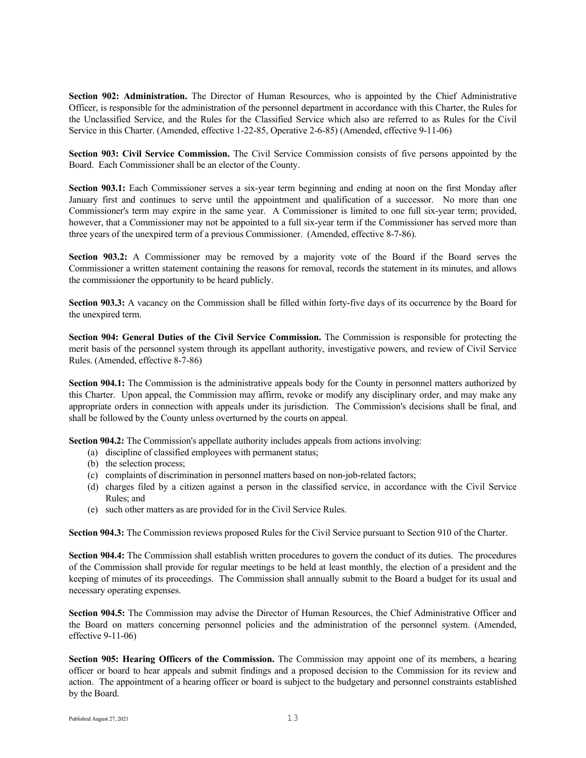**Section 902: Administration.** The Director of Human Resources, who is appointed by the Chief Administrative Officer, is responsible for the administration of the personnel department in accordance with this Charter, the Rules for the Unclassified Service, and the Rules for the Classified Service which also are referred to as Rules for the Civil Service in this Charter. (Amended, effective 1-22-85, Operative 2-6-85) (Amended, effective 9-11-06)

**Section 903: Civil Service Commission.** The Civil Service Commission consists of five persons appointed by the Board. Each Commissioner shall be an elector of the County.

**Section 903.1:** Each Commissioner serves a six-year term beginning and ending at noon on the first Monday after January first and continues to serve until the appointment and qualification of a successor. No more than one Commissioner's term may expire in the same year. A Commissioner is limited to one full six-year term; provided, however, that a Commissioner may not be appointed to a full six-year term if the Commissioner has served more than three years of the unexpired term of a previous Commissioner. (Amended, effective 8-7-86).

**Section 903.2:** A Commissioner may be removed by a majority vote of the Board if the Board serves the Commissioner a written statement containing the reasons for removal, records the statement in its minutes, and allows the commissioner the opportunity to be heard publicly.

**Section 903.3:** A vacancy on the Commission shall be filled within forty-five days of its occurrence by the Board for the unexpired term.

**Section 904: General Duties of the Civil Service Commission.** The Commission is responsible for protecting the merit basis of the personnel system through its appellant authority, investigative powers, and review of Civil Service Rules. (Amended, effective 8-7-86)

**Section 904.1:** The Commission is the administrative appeals body for the County in personnel matters authorized by this Charter. Upon appeal, the Commission may affirm, revoke or modify any disciplinary order, and may make any appropriate orders in connection with appeals under its jurisdiction. The Commission's decisions shall be final, and shall be followed by the County unless overturned by the courts on appeal.

**Section 904.2:** The Commission's appellate authority includes appeals from actions involving:

- (a) discipline of classified employees with permanent status;
- (b) the selection process;
- (c) complaints of discrimination in personnel matters based on non-job-related factors;
- (d) charges filed by a citizen against a person in the classified service, in accordance with the Civil Service Rules; and
- (e) such other matters as are provided for in the Civil Service Rules.

**Section 904.3:** The Commission reviews proposed Rules for the Civil Service pursuant to Section 910 of the Charter.

**Section 904.4:** The Commission shall establish written procedures to govern the conduct of its duties. The procedures of the Commission shall provide for regular meetings to be held at least monthly, the election of a president and the keeping of minutes of its proceedings. The Commission shall annually submit to the Board a budget for its usual and necessary operating expenses.

**Section 904.5:** The Commission may advise the Director of Human Resources, the Chief Administrative Officer and the Board on matters concerning personnel policies and the administration of the personnel system. (Amended, effective 9-11-06)

**Section 905: Hearing Officers of the Commission.** The Commission may appoint one of its members, a hearing officer or board to hear appeals and submit findings and a proposed decision to the Commission for its review and action. The appointment of a hearing officer or board is subject to the budgetary and personnel constraints established by the Board.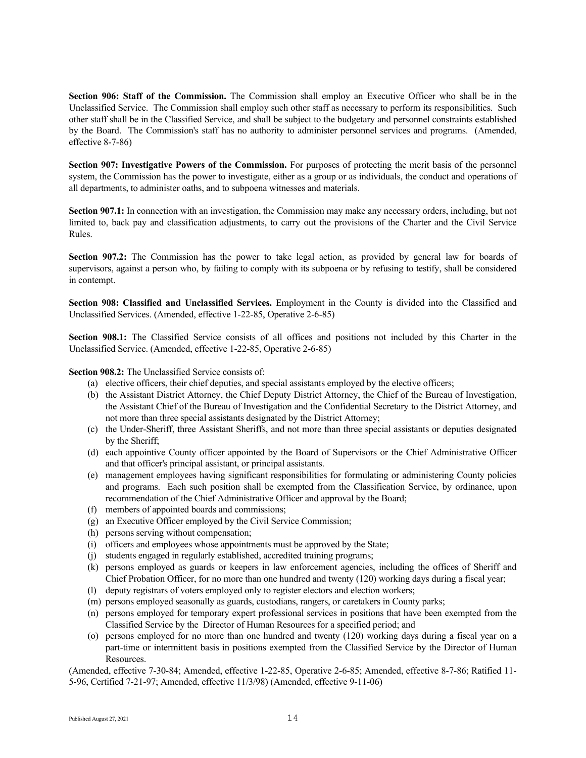**Section 906: Staff of the Commission.** The Commission shall employ an Executive Officer who shall be in the Unclassified Service. The Commission shall employ such other staff as necessary to perform its responsibilities. Such other staff shall be in the Classified Service, and shall be subject to the budgetary and personnel constraints established by the Board. The Commission's staff has no authority to administer personnel services and programs. (Amended, effective 8-7-86)

**Section 907: Investigative Powers of the Commission.** For purposes of protecting the merit basis of the personnel system, the Commission has the power to investigate, either as a group or as individuals, the conduct and operations of all departments, to administer oaths, and to subpoena witnesses and materials.

**Section 907.1:** In connection with an investigation, the Commission may make any necessary orders, including, but not limited to, back pay and classification adjustments, to carry out the provisions of the Charter and the Civil Service Rules.

**Section 907.2:** The Commission has the power to take legal action, as provided by general law for boards of supervisors, against a person who, by failing to comply with its subpoena or by refusing to testify, shall be considered in contempt.

**Section 908: Classified and Unclassified Services.** Employment in the County is divided into the Classified and Unclassified Services. (Amended, effective 1-22-85, Operative 2-6-85)

**Section 908.1:** The Classified Service consists of all offices and positions not included by this Charter in the Unclassified Service. (Amended, effective 1-22-85, Operative 2-6-85)

**Section 908.2:** The Unclassified Service consists of:

- (a) elective officers, their chief deputies, and special assistants employed by the elective officers;
- (b) the Assistant District Attorney, the Chief Deputy District Attorney, the Chief of the Bureau of Investigation, the Assistant Chief of the Bureau of Investigation and the Confidential Secretary to the District Attorney, and not more than three special assistants designated by the District Attorney;
- (c) the Under-Sheriff, three Assistant Sheriffs, and not more than three special assistants or deputies designated by the Sheriff;
- (d) each appointive County officer appointed by the Board of Supervisors or the Chief Administrative Officer and that officer's principal assistant, or principal assistants.
- (e) management employees having significant responsibilities for formulating or administering County policies and programs. Each such position shall be exempted from the Classification Service, by ordinance, upon recommendation of the Chief Administrative Officer and approval by the Board;
- (f) members of appointed boards and commissions;
- (g) an Executive Officer employed by the Civil Service Commission;
- (h) persons serving without compensation;
- (i) officers and employees whose appointments must be approved by the State;
- (j) students engaged in regularly established, accredited training programs;
- (k) persons employed as guards or keepers in law enforcement agencies, including the offices of Sheriff and Chief Probation Officer, for no more than one hundred and twenty (120) working days during a fiscal year;
- (l) deputy registrars of voters employed only to register electors and election workers;
- (m) persons employed seasonally as guards, custodians, rangers, or caretakers in County parks;
- (n) persons employed for temporary expert professional services in positions that have been exempted from the Classified Service by the Director of Human Resources for a specified period; and
- (o) persons employed for no more than one hundred and twenty (120) working days during a fiscal year on a part-time or intermittent basis in positions exempted from the Classified Service by the Director of Human Resources.

(Amended, effective 7-30-84; Amended, effective 1-22-85, Operative 2-6-85; Amended, effective 8-7-86; Ratified 11- 5-96, Certified 7-21-97; Amended, effective 11/3/98) (Amended, effective 9-11-06)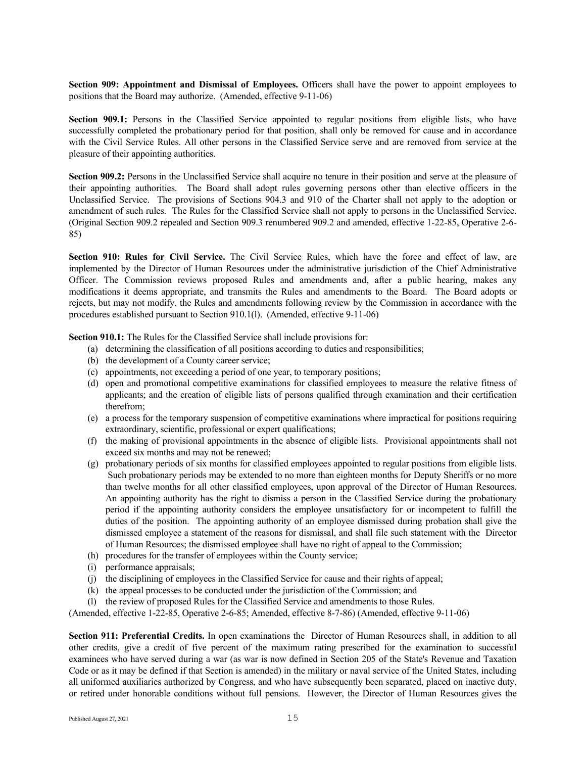**Section 909: Appointment and Dismissal of Employees.** Officers shall have the power to appoint employees to positions that the Board may authorize. (Amended, effective 9-11-06)

**Section 909.1:** Persons in the Classified Service appointed to regular positions from eligible lists, who have successfully completed the probationary period for that position, shall only be removed for cause and in accordance with the Civil Service Rules. All other persons in the Classified Service serve and are removed from service at the pleasure of their appointing authorities.

**Section 909.2:** Persons in the Unclassified Service shall acquire no tenure in their position and serve at the pleasure of their appointing authorities. The Board shall adopt rules governing persons other than elective officers in the Unclassified Service. The provisions of Sections 904.3 and 910 of the Charter shall not apply to the adoption or amendment of such rules. The Rules for the Classified Service shall not apply to persons in the Unclassified Service. (Original Section 909.2 repealed and Section 909.3 renumbered 909.2 and amended, effective 1-22-85, Operative 2-6- 85)

**Section 910: Rules for Civil Service.** The Civil Service Rules, which have the force and effect of law, are implemented by the Director of Human Resources under the administrative jurisdiction of the Chief Administrative Officer. The Commission reviews proposed Rules and amendments and, after a public hearing, makes any modifications it deems appropriate, and transmits the Rules and amendments to the Board. The Board adopts or rejects, but may not modify, the Rules and amendments following review by the Commission in accordance with the procedures established pursuant to Section 910.1(l). (Amended, effective 9-11-06)

**Section 910.1:** The Rules for the Classified Service shall include provisions for:

- (a) determining the classification of all positions according to duties and responsibilities;
- (b) the development of a County career service;
- (c) appointments, not exceeding a period of one year, to temporary positions;
- (d) open and promotional competitive examinations for classified employees to measure the relative fitness of applicants; and the creation of eligible lists of persons qualified through examination and their certification therefrom;
- (e) a process for the temporary suspension of competitive examinations where impractical for positions requiring extraordinary, scientific, professional or expert qualifications;
- (f) the making of provisional appointments in the absence of eligible lists. Provisional appointments shall not exceed six months and may not be renewed;
- (g) probationary periods of six months for classified employees appointed to regular positions from eligible lists. Such probationary periods may be extended to no more than eighteen months for Deputy Sheriffs or no more than twelve months for all other classified employees, upon approval of the Director of Human Resources. An appointing authority has the right to dismiss a person in the Classified Service during the probationary period if the appointing authority considers the employee unsatisfactory for or incompetent to fulfill the duties of the position. The appointing authority of an employee dismissed during probation shall give the dismissed employee a statement of the reasons for dismissal, and shall file such statement with the Director of Human Resources; the dismissed employee shall have no right of appeal to the Commission;
- (h) procedures for the transfer of employees within the County service;
- (i) performance appraisals;
- (j) the disciplining of employees in the Classified Service for cause and their rights of appeal;
- (k) the appeal processes to be conducted under the jurisdiction of the Commission; and
- (l) the review of proposed Rules for the Classified Service and amendments to those Rules.

(Amended, effective 1-22-85, Operative 2-6-85; Amended, effective 8-7-86) (Amended, effective 9-11-06)

**Section 911: Preferential Credits.** In open examinations the Director of Human Resources shall, in addition to all other credits, give a credit of five percent of the maximum rating prescribed for the examination to successful examinees who have served during a war (as war is now defined in Section 205 of the State's Revenue and Taxation Code or as it may be defined if that Section is amended) in the military or naval service of the United States, including all uniformed auxiliaries authorized by Congress, and who have subsequently been separated, placed on inactive duty, or retired under honorable conditions without full pensions. However, the Director of Human Resources gives the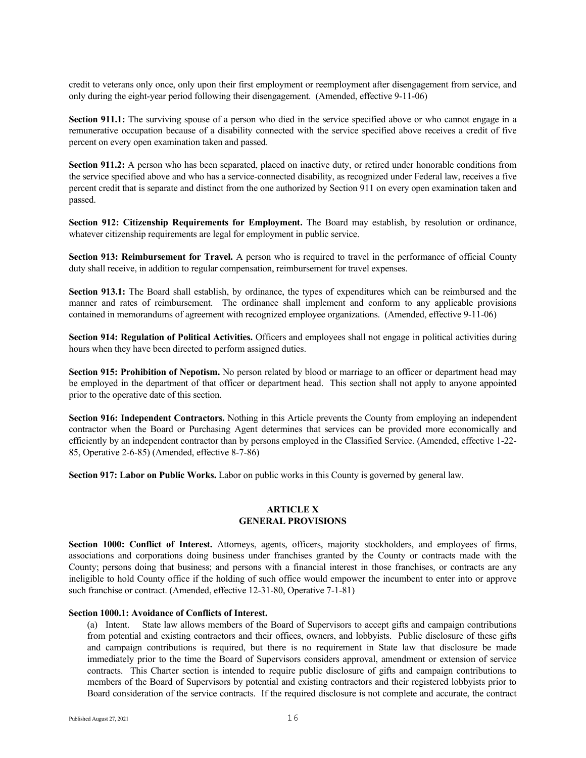credit to veterans only once, only upon their first employment or reemployment after disengagement from service, and only during the eight-year period following their disengagement. (Amended, effective 9-11-06)

**Section 911.1:** The surviving spouse of a person who died in the service specified above or who cannot engage in a remunerative occupation because of a disability connected with the service specified above receives a credit of five percent on every open examination taken and passed.

**Section 911.2:** A person who has been separated, placed on inactive duty, or retired under honorable conditions from the service specified above and who has a service-connected disability, as recognized under Federal law, receives a five percent credit that is separate and distinct from the one authorized by Section 911 on every open examination taken and passed.

**Section 912: Citizenship Requirements for Employment.** The Board may establish, by resolution or ordinance, whatever citizenship requirements are legal for employment in public service.

**Section 913: Reimbursement for Travel.** A person who is required to travel in the performance of official County duty shall receive, in addition to regular compensation, reimbursement for travel expenses.

**Section 913.1:** The Board shall establish, by ordinance, the types of expenditures which can be reimbursed and the manner and rates of reimbursement. The ordinance shall implement and conform to any applicable provisions contained in memorandums of agreement with recognized employee organizations. (Amended, effective 9-11-06)

**Section 914: Regulation of Political Activities.** Officers and employees shall not engage in political activities during hours when they have been directed to perform assigned duties.

**Section 915: Prohibition of Nepotism.** No person related by blood or marriage to an officer or department head may be employed in the department of that officer or department head. This section shall not apply to anyone appointed prior to the operative date of this section.

**Section 916: Independent Contractors.** Nothing in this Article prevents the County from employing an independent contractor when the Board or Purchasing Agent determines that services can be provided more economically and efficiently by an independent contractor than by persons employed in the Classified Service. (Amended, effective 1-22- 85, Operative 2-6-85) (Amended, effective 8-7-86)

**Section 917: Labor on Public Works.** Labor on public works in this County is governed by general law.

## **ARTICLE X GENERAL PROVISIONS**

**Section 1000: Conflict of Interest.** Attorneys, agents, officers, majority stockholders, and employees of firms, associations and corporations doing business under franchises granted by the County or contracts made with the County; persons doing that business; and persons with a financial interest in those franchises, or contracts are any ineligible to hold County office if the holding of such office would empower the incumbent to enter into or approve such franchise or contract. (Amended, effective 12-31-80, Operative 7-1-81)

## **Section 1000.1: Avoidance of Conflicts of Interest.**

(a) Intent. State law allows members of the Board of Supervisors to accept gifts and campaign contributions from potential and existing contractors and their offices, owners, and lobbyists. Public disclosure of these gifts and campaign contributions is required, but there is no requirement in State law that disclosure be made immediately prior to the time the Board of Supervisors considers approval, amendment or extension of service contracts. This Charter section is intended to require public disclosure of gifts and campaign contributions to members of the Board of Supervisors by potential and existing contractors and their registered lobbyists prior to Board consideration of the service contracts. If the required disclosure is not complete and accurate, the contract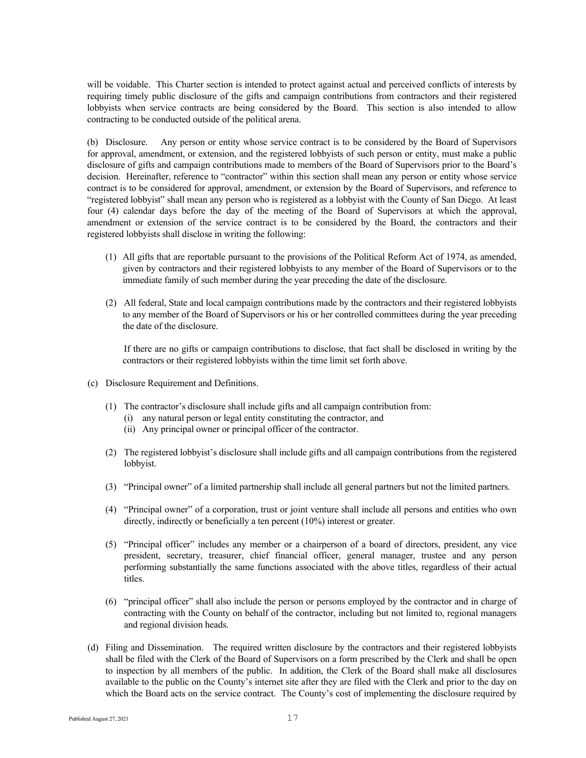will be voidable. This Charter section is intended to protect against actual and perceived conflicts of interests by requiring timely public disclosure of the gifts and campaign contributions from contractors and their registered lobbyists when service contracts are being considered by the Board. This section is also intended to allow contracting to be conducted outside of the political arena.

(b) Disclosure. Any person or entity whose service contract is to be considered by the Board of Supervisors for approval, amendment, or extension, and the registered lobbyists of such person or entity, must make a public disclosure of gifts and campaign contributions made to members of the Board of Supervisors prior to the Board's decision. Hereinafter, reference to "contractor" within this section shall mean any person or entity whose service contract is to be considered for approval, amendment, or extension by the Board of Supervisors, and reference to "registered lobbyist" shall mean any person who is registered as a lobbyist with the County of San Diego. At least four (4) calendar days before the day of the meeting of the Board of Supervisors at which the approval, amendment or extension of the service contract is to be considered by the Board, the contractors and their registered lobbyists shall disclose in writing the following:

- (1) All gifts that are reportable pursuant to the provisions of the Political Reform Act of 1974, as amended, given by contractors and their registered lobbyists to any member of the Board of Supervisors or to the immediate family of such member during the year preceding the date of the disclosure.
- (2) All federal, State and local campaign contributions made by the contractors and their registered lobbyists to any member of the Board of Supervisors or his or her controlled committees during the year preceding the date of the disclosure.

If there are no gifts or campaign contributions to disclose, that fact shall be disclosed in writing by the contractors or their registered lobbyists within the time limit set forth above.

- (c) Disclosure Requirement and Definitions.
	- (1) The contractor's disclosure shall include gifts and all campaign contribution from:
		- (i) any natural person or legal entity constituting the contractor, and
		- (ii) Any principal owner or principal officer of the contractor.
	- (2) The registered lobbyist's disclosure shall include gifts and all campaign contributions from the registered lobbyist.
	- (3) "Principal owner" of a limited partnership shall include all general partners but not the limited partners.
	- (4) "Principal owner" of a corporation, trust or joint venture shall include all persons and entities who own directly, indirectly or beneficially a ten percent (10%) interest or greater.
	- (5) "Principal officer" includes any member or a chairperson of a board of directors, president, any vice president, secretary, treasurer, chief financial officer, general manager, trustee and any person performing substantially the same functions associated with the above titles, regardless of their actual titles.
	- (6) "principal officer" shall also include the person or persons employed by the contractor and in charge of contracting with the County on behalf of the contractor, including but not limited to, regional managers and regional division heads.
- (d) Filing and Dissemination. The required written disclosure by the contractors and their registered lobbyists shall be filed with the Clerk of the Board of Supervisors on a form prescribed by the Clerk and shall be open to inspection by all members of the public. In addition, the Clerk of the Board shall make all disclosures available to the public on the County's internet site after they are filed with the Clerk and prior to the day on which the Board acts on the service contract. The County's cost of implementing the disclosure required by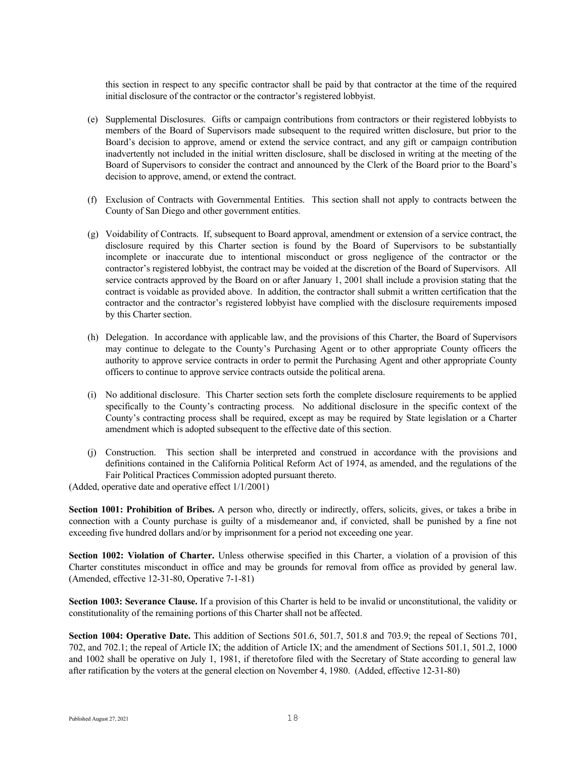this section in respect to any specific contractor shall be paid by that contractor at the time of the required initial disclosure of the contractor or the contractor's registered lobbyist.

- (e) Supplemental Disclosures. Gifts or campaign contributions from contractors or their registered lobbyists to members of the Board of Supervisors made subsequent to the required written disclosure, but prior to the Board's decision to approve, amend or extend the service contract, and any gift or campaign contribution inadvertently not included in the initial written disclosure, shall be disclosed in writing at the meeting of the Board of Supervisors to consider the contract and announced by the Clerk of the Board prior to the Board's decision to approve, amend, or extend the contract.
- (f) Exclusion of Contracts with Governmental Entities. This section shall not apply to contracts between the County of San Diego and other government entities.
- (g) Voidability of Contracts. If, subsequent to Board approval, amendment or extension of a service contract, the disclosure required by this Charter section is found by the Board of Supervisors to be substantially incomplete or inaccurate due to intentional misconduct or gross negligence of the contractor or the contractor's registered lobbyist, the contract may be voided at the discretion of the Board of Supervisors. All service contracts approved by the Board on or after January 1, 2001 shall include a provision stating that the contract is voidable as provided above. In addition, the contractor shall submit a written certification that the contractor and the contractor's registered lobbyist have complied with the disclosure requirements imposed by this Charter section.
- (h) Delegation. In accordance with applicable law, and the provisions of this Charter, the Board of Supervisors may continue to delegate to the County's Purchasing Agent or to other appropriate County officers the authority to approve service contracts in order to permit the Purchasing Agent and other appropriate County officers to continue to approve service contracts outside the political arena.
- (i) No additional disclosure. This Charter section sets forth the complete disclosure requirements to be applied specifically to the County's contracting process. No additional disclosure in the specific context of the County's contracting process shall be required, except as may be required by State legislation or a Charter amendment which is adopted subsequent to the effective date of this section.
- (j) Construction. This section shall be interpreted and construed in accordance with the provisions and definitions contained in the California Political Reform Act of 1974, as amended, and the regulations of the Fair Political Practices Commission adopted pursuant thereto.

(Added, operative date and operative effect 1/1/2001)

**Section 1001: Prohibition of Bribes.** A person who, directly or indirectly, offers, solicits, gives, or takes a bribe in connection with a County purchase is guilty of a misdemeanor and, if convicted, shall be punished by a fine not exceeding five hundred dollars and/or by imprisonment for a period not exceeding one year.

**Section 1002: Violation of Charter.** Unless otherwise specified in this Charter, a violation of a provision of this Charter constitutes misconduct in office and may be grounds for removal from office as provided by general law. (Amended, effective 12-31-80, Operative 7-1-81)

**Section 1003: Severance Clause.** If a provision of this Charter is held to be invalid or unconstitutional, the validity or constitutionality of the remaining portions of this Charter shall not be affected.

**Section 1004: Operative Date.** This addition of Sections 501.6, 501.7, 501.8 and 703.9; the repeal of Sections 701, 702, and 702.1; the repeal of Article IX; the addition of Article IX; and the amendment of Sections 501.1, 501.2, 1000 and 1002 shall be operative on July 1, 1981, if theretofore filed with the Secretary of State according to general law after ratification by the voters at the general election on November 4, 1980. (Added, effective 12-31-80)